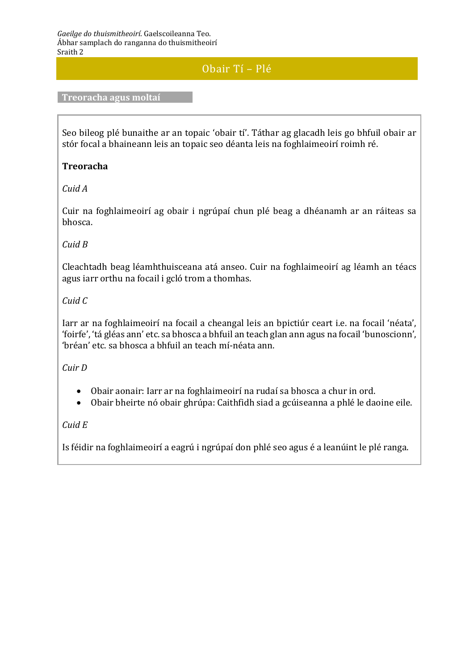# Obair Tí – Plé

**Treoracha agus moltaí**

Seo bileog plé bunaithe ar an topaic 'obair tí'. Táthar ag glacadh leis go bhfuil obair ar stór focal a bhaineann leis an topaic seo déanta leis na foghlaimeoirí roimh ré.

## **Treoracha**

*Cuid A*

Cuir na foghlaimeoirí ag obair i ngrúpaí chun plé beag a dhéanamh ar an ráiteas sa bhosca.

# *Cuid B*

Cleachtadh beag léamhthuisceana atá anseo. Cuir na foghlaimeoirí ag léamh an téacs agus iarr orthu na focail i gcló trom a thomhas.

# *Cuid C*

Iarr ar na foghlaimeoirí na focail a cheangal leis an bpictiúr ceart i.e. na focail 'néata', 'foirfe', 'tá gléas ann' etc. sa bhosca a bhfuil an teach glan ann agus na focail 'bunoscionn', 'bréan' etc. sa bhosca a bhfuil an teach mí-néata ann.

### *Cuir D*

- Obair aonair: Iarr ar na foghlaimeoirí na rudaí sa bhosca a chur in ord.
- Obair bheirte nó obair ghrúpa: Caithfidh siad a gcúiseanna a phlé le daoine eile.

# *Cuid E*

Is féidir na foghlaimeoirí a eagrú i ngrúpaí don phlé seo agus é a leanúint le plé ranga.